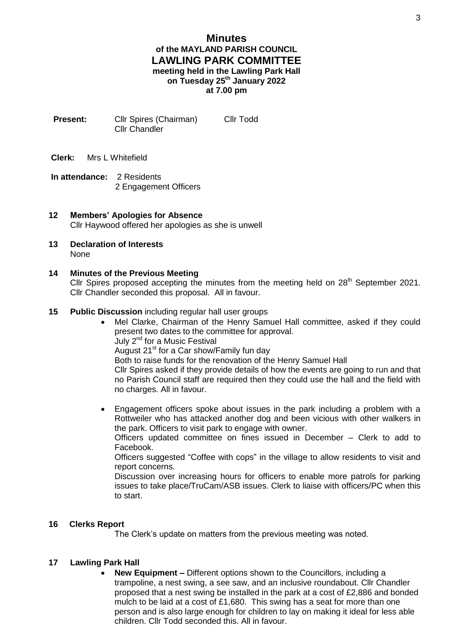- **Present:** Cllr Spires (Chairman) Cllr Todd Cllr Chandler
- **Clerk:** Mrs L Whitefield
- **In attendance:** 2 Residents 2 Engagement Officers
- **12 Members' Apologies for Absence** Cllr Haywood offered her apologies as she is unwell
- **13 Declaration of Interests** None

# **14 Minutes of the Previous Meeting**

Cllr Spires proposed accepting the minutes from the meeting held on  $28<sup>th</sup>$  September 2021. Cllr Chandler seconded this proposal. All in favour.

## **15 Public Discussion** including regular hall user groups

- Mel Clarke, Chairman of the Henry Samuel Hall committee, asked if they could present two dates to the committee for approval.
	- July 2nd for a Music Festival

August 21<sup>st</sup> for a Car show/Family fun day

Both to raise funds for the renovation of the Henry Samuel Hall

Cllr Spires asked if they provide details of how the events are going to run and that no Parish Council staff are required then they could use the hall and the field with no charges. All in favour.

 Engagement officers spoke about issues in the park including a problem with a Rottweiler who has attacked another dog and been vicious with other walkers in the park. Officers to visit park to engage with owner.

Officers updated committee on fines issued in December – Clerk to add to Facebook.

Officers suggested "Coffee with cops" in the village to allow residents to visit and report concerns.

Discussion over increasing hours for officers to enable more patrols for parking issues to take place/TruCam/ASB issues. Clerk to liaise with officers/PC when this to start.

## **16 Clerks Report**

The Clerk's update on matters from the previous meeting was noted.

## **17 Lawling Park Hall**

 **New Equipment –** Different options shown to the Councillors, including a trampoline, a nest swing, a see saw, and an inclusive roundabout. Cllr Chandler proposed that a nest swing be installed in the park at a cost of £2,886 and bonded mulch to be laid at a cost of £1,680. This swing has a seat for more than one person and is also large enough for children to lay on making it ideal for less able children. Cllr Todd seconded this. All in favour.